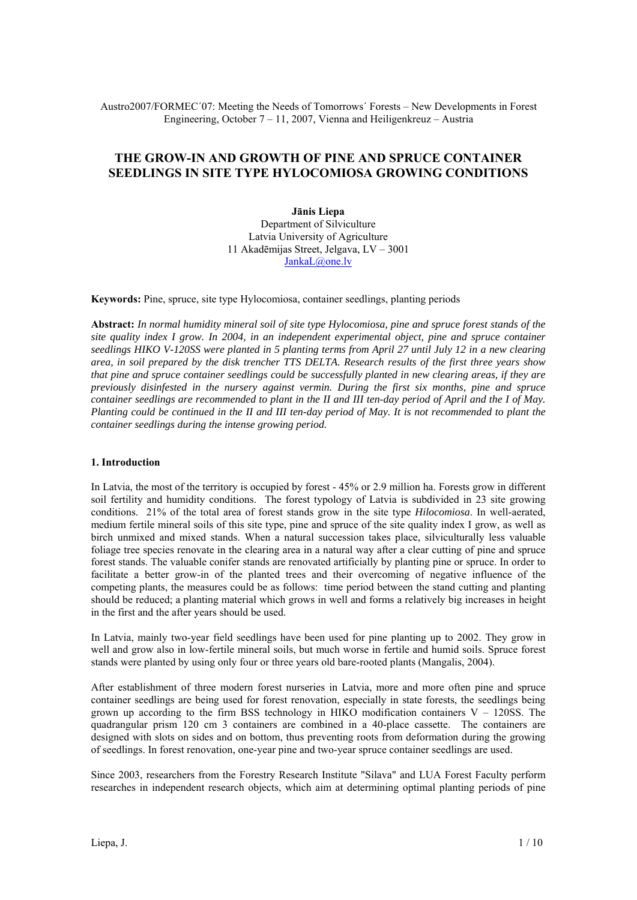Austro2007/FORMEC´07: Meeting the Needs of Tomorrows´ Forests – New Developments in Forest Engineering, October 7 – 11, 2007, Vienna and Heiligenkreuz – Austria

# **THE GROW-IN AND GROWTH OF PINE AND SPRUCE CONTAINER SEEDLINGS IN SITE TYPE HYLOCOMIOSA GROWING CONDITIONS**

**Jānis Liepa**  Department of Silviculture Latvia University of Agriculture 11 Akadēmijas Street, Jelgava, LV – 3001 JankaL@one.lv

**Keywords:** Pine, spruce, site type Hylocomiosa, container seedlings, planting periods

**Abstract:** *In normal humidity mineral soil of site type Hylocomiosa, pine and spruce forest stands of the site quality index I grow. In 2004, in an independent experimental object, pine and spruce container seedlings HIKO V-120SS were planted in 5 planting terms from April 27 until July 12 in a new clearing area, in soil prepared by the disk trencher TTS DELTA. Research results of the first three years show that pine and spruce container seedlings could be successfully planted in new clearing areas, if they are previously disinfested in the nursery against vermin. During the first six months, pine and spruce container seedlings are recommended to plant in the II and III ten-day period of April and the I of May. Planting could be continued in the II and III ten-day period of May. It is not recommended to plant the container seedlings during the intense growing period.* 

#### **1. Introduction**

In Latvia, the most of the territory is occupied by forest - 45% or 2.9 million ha. Forests grow in different soil fertility and humidity conditions. The forest typology of Latvia is subdivided in 23 site growing conditions. 21% of the total area of forest stands grow in the site type *Hilocomiosa*. In well-aerated, medium fertile mineral soils of this site type, pine and spruce of the site quality index I grow, as well as birch unmixed and mixed stands. When a natural succession takes place, silviculturally less valuable foliage tree species renovate in the clearing area in a natural way after a clear cutting of pine and spruce forest stands. The valuable conifer stands are renovated artificially by planting pine or spruce. In order to facilitate a better grow-in of the planted trees and their overcoming of negative influence of the competing plants, the measures could be as follows: time period between the stand cutting and planting should be reduced; a planting material which grows in well and forms a relatively big increases in height in the first and the after years should be used.

In Latvia, mainly two-year field seedlings have been used for pine planting up to 2002. They grow in well and grow also in low-fertile mineral soils, but much worse in fertile and humid soils. Spruce forest stands were planted by using only four or three years old bare-rooted plants (Mangalis, 2004).

After establishment of three modern forest nurseries in Latvia, more and more often pine and spruce container seedlings are being used for forest renovation, especially in state forests, the seedlings being grown up according to the firm BSS technology in HIKO modification containers  $V - 120SS$ . The quadrangular prism 120 cm 3 containers are combined in a 40-place cassette. The containers are designed with slots on sides and on bottom, thus preventing roots from deformation during the growing of seedlings. In forest renovation, one-year pine and two-year spruce container seedlings are used.

Since 2003, researchers from the Forestry Research Institute "Silava" and LUA Forest Faculty perform researches in independent research objects, which aim at determining optimal planting periods of pine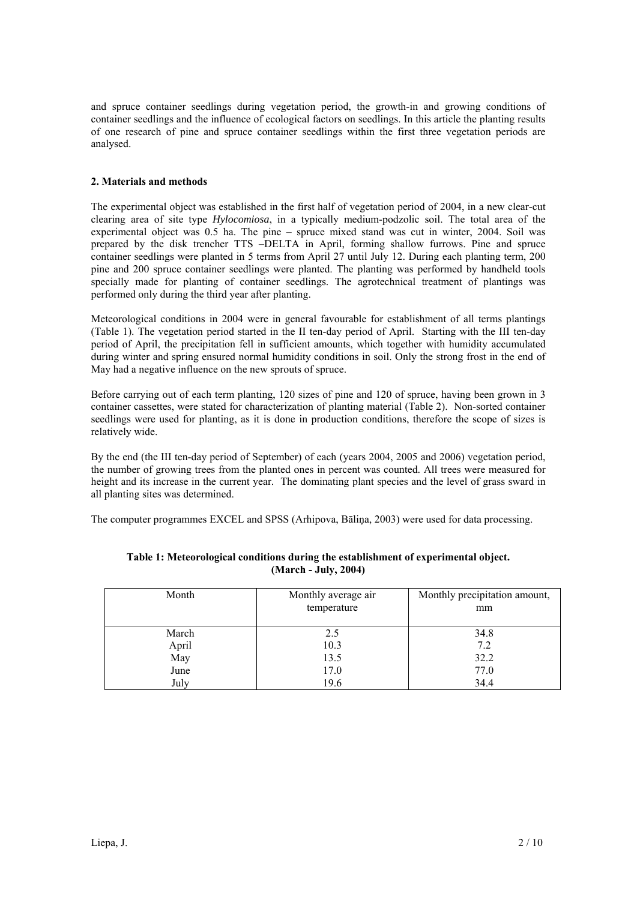and spruce container seedlings during vegetation period, the growth-in and growing conditions of container seedlings and the influence of ecological factors on seedlings. In this article the planting results of one research of pine and spruce container seedlings within the first three vegetation periods are analysed.

# **2. Materials and methods**

The experimental object was established in the first half of vegetation period of 2004, in a new clear-cut clearing area of site type *Hylocomiosa*, in a typically medium-podzolic soil. The total area of the experimental object was 0.5 ha. The pine – spruce mixed stand was cut in winter, 2004. Soil was prepared by the disk trencher TTS –DELTA in April, forming shallow furrows. Pine and spruce container seedlings were planted in 5 terms from April 27 until July 12. During each planting term, 200 pine and 200 spruce container seedlings were planted. The planting was performed by handheld tools specially made for planting of container seedlings. The agrotechnical treatment of plantings was performed only during the third year after planting.

Meteorological conditions in 2004 were in general favourable for establishment of all terms plantings (Table 1). The vegetation period started in the II ten-day period of April. Starting with the III ten-day period of April, the precipitation fell in sufficient amounts, which together with humidity accumulated during winter and spring ensured normal humidity conditions in soil. Only the strong frost in the end of May had a negative influence on the new sprouts of spruce.

Before carrying out of each term planting, 120 sizes of pine and 120 of spruce, having been grown in 3 container cassettes, were stated for characterization of planting material (Table 2). Non-sorted container seedlings were used for planting, as it is done in production conditions, therefore the scope of sizes is relatively wide.

By the end (the III ten-day period of September) of each (years 2004, 2005 and 2006) vegetation period, the number of growing trees from the planted ones in percent was counted. All trees were measured for height and its increase in the current year. The dominating plant species and the level of grass sward in all planting sites was determined.

The computer programmes EXCEL and SPSS (Arhipova, Bāliņa, 2003) were used for data processing.

| Month | Monthly average air<br>temperature | Monthly precipitation amount,<br>mm |
|-------|------------------------------------|-------------------------------------|
| March | 2.5                                | 34.8                                |
| April | 10.3                               | 7.2                                 |
| May   | 13.5                               | 32.2                                |
| June  | 17.0                               | 77.0                                |
| July  | 19.6                               | 34.4                                |

**Table 1: Meteorological conditions during the establishment of experimental object. (March - July, 2004)**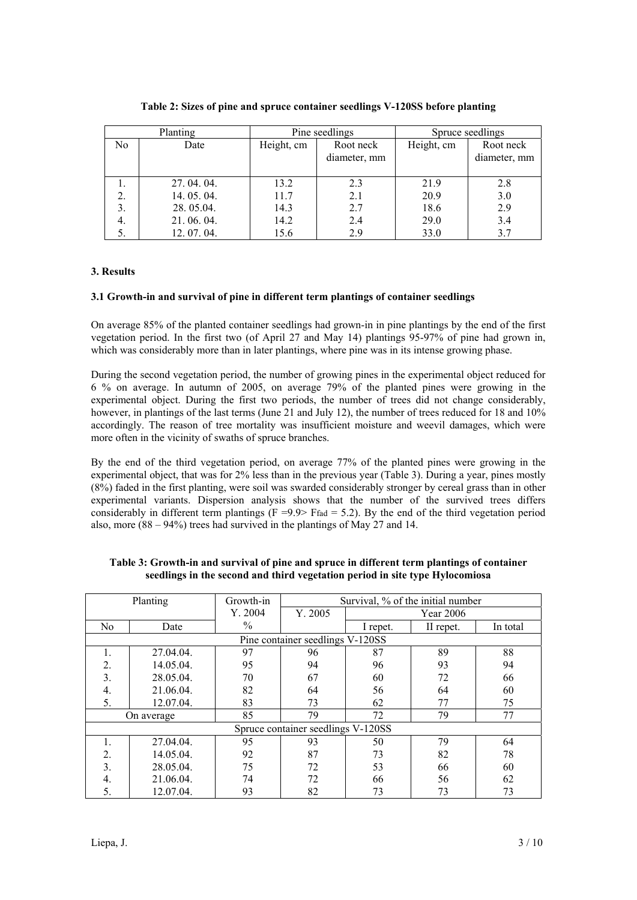|    | Planting    | Pine seedlings |                           |            | Spruce seedlings          |
|----|-------------|----------------|---------------------------|------------|---------------------------|
| No | Date        | Height, cm     | Root neck<br>diameter, mm | Height, cm | Root neck<br>diameter, mm |
|    | 27, 04, 04, | 13.2           | 2.3                       | 21.9       | 2.8                       |
| 2. | 14.05.04.   | 11.7           | 2.1                       | 20.9       | 3.0                       |
| 3. | 28.05.04.   | 14.3           | 2.7                       | 18.6       | 2.9                       |
| 4. | 21.06.04.   | 14.2           | 2.4                       | 29.0       | 3.4                       |
| 5. | 12, 07, 04, | 15.6           | 2.9                       | 33.0       | 3.7                       |

|  |  | Table 2: Sizes of pine and spruce container seedlings V-120SS before planting |  |  |
|--|--|-------------------------------------------------------------------------------|--|--|
|--|--|-------------------------------------------------------------------------------|--|--|

# **3. Results**

# **3.1 Growth-in and survival of pine in different term plantings of container seedlings**

On average 85% of the planted container seedlings had grown-in in pine plantings by the end of the first vegetation period. In the first two (of April 27 and May 14) plantings 95-97% of pine had grown in, which was considerably more than in later plantings, where pine was in its intense growing phase.

During the second vegetation period, the number of growing pines in the experimental object reduced for 6 % on average. In autumn of 2005, on average 79% of the planted pines were growing in the experimental object. During the first two periods, the number of trees did not change considerably, however, in plantings of the last terms (June 21 and July 12), the number of trees reduced for 18 and 10% accordingly. The reason of tree mortality was insufficient moisture and weevil damages, which were more often in the vicinity of swaths of spruce branches.

By the end of the third vegetation period, on average 77% of the planted pines were growing in the experimental object, that was for 2% less than in the previous year (Table 3). During a year, pines mostly (8%) faded in the first planting, were soil was swarded considerably stronger by cereal grass than in other experimental variants. Dispersion analysis shows that the number of the survived trees differs considerably in different term plantings  $(F = 9.9)$  Ffad = 5.2). By the end of the third vegetation period also, more (88 – 94%) trees had survived in the plantings of May 27 and 14.

|                | Planting   | Growth-in | Survival, % of the initial number  |          |           |          |
|----------------|------------|-----------|------------------------------------|----------|-----------|----------|
|                |            | Y. 2004   | Y. 2005                            |          | Year 2006 |          |
| N <sub>0</sub> | Date       | $\%$      |                                    | I repet. | II repet. | In total |
|                |            |           | Pine container seedlings V-120SS   |          |           |          |
|                | 27.04.04.  | 97        | 96                                 | 87       | 89        | 88       |
| 2.             | 14.05.04.  | 95        | 94                                 | 96       | 93        | 94       |
| 3.             | 28.05.04.  | 70        | 67                                 | 60       | 72        | 66       |
| 4.             | 21.06.04.  | 82        | 64                                 | 56       | 64        | 60       |
| 5.             | 12.07.04.  | 83        | 73                                 | 62       | 77        | 75       |
|                | On average | 85        | 79                                 | 72       | 79        | 77       |
|                |            |           | Spruce container seedlings V-120SS |          |           |          |
|                | 27.04.04.  | 95        | 93                                 | 50       | 79        | 64       |
| 2.             | 14.05.04.  | 92        | 87                                 | 73       | 82        | 78       |
| 3.             | 28.05.04.  | 75        | 72                                 | 53       | 66        | 60       |
| 4.             | 21.06.04.  | 74        | 72                                 | 66       | 56        | 62       |
| 5.             | 12.07.04.  | 93        | 82                                 | 73       | 73        | 73       |

**Table 3: Growth-in and survival of pine and spruce in different term plantings of container seedlings in the second and third vegetation period in site type Hylocomiosa**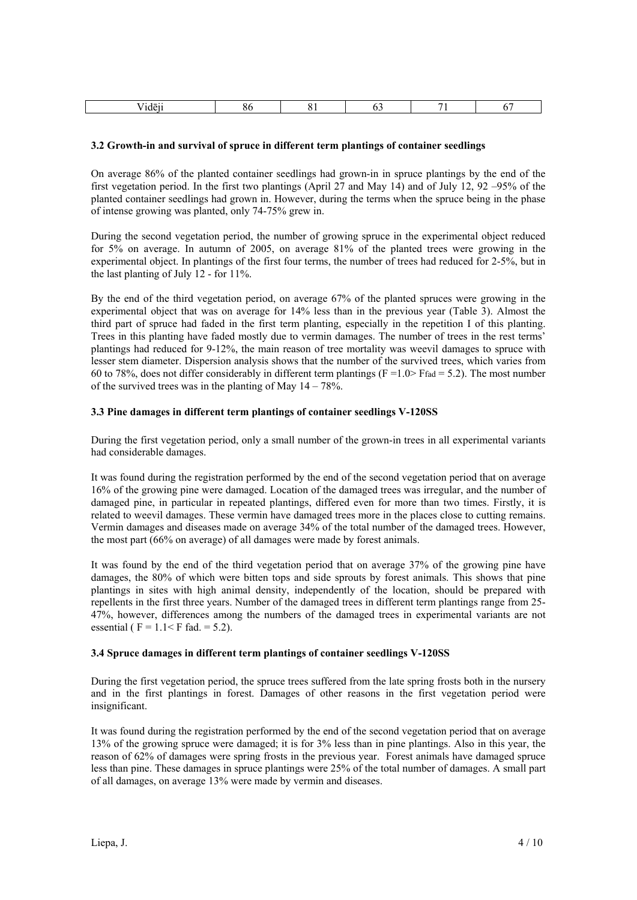|  | . . |  |  |  |  |  |
|--|-----|--|--|--|--|--|
|--|-----|--|--|--|--|--|

#### **3.2 Growth-in and survival of spruce in different term plantings of container seedlings**

On average 86% of the planted container seedlings had grown-in in spruce plantings by the end of the first vegetation period. In the first two plantings (April 27 and May 14) and of July 12, 92 –95% of the planted container seedlings had grown in. However, during the terms when the spruce being in the phase of intense growing was planted, only 74-75% grew in.

During the second vegetation period, the number of growing spruce in the experimental object reduced for 5% on average. In autumn of 2005, on average 81% of the planted trees were growing in the experimental object. In plantings of the first four terms, the number of trees had reduced for 2-5%, but in the last planting of July 12 - for 11%.

By the end of the third vegetation period, on average 67% of the planted spruces were growing in the experimental object that was on average for 14% less than in the previous year (Table 3). Almost the third part of spruce had faded in the first term planting, especially in the repetition I of this planting. Trees in this planting have faded mostly due to vermin damages. The number of trees in the rest terms' plantings had reduced for 9-12%, the main reason of tree mortality was weevil damages to spruce with lesser stem diameter. Dispersion analysis shows that the number of the survived trees, which varies from 60 to 78%, does not differ considerably in different term plantings ( $F = 1.0$ ) Ffad = 5.2). The most number of the survived trees was in the planting of May  $14 - 78\%$ .

#### **3.3 Pine damages in different term plantings of container seedlings V-120SS**

During the first vegetation period, only a small number of the grown-in trees in all experimental variants had considerable damages.

It was found during the registration performed by the end of the second vegetation period that on average 16% of the growing pine were damaged. Location of the damaged trees was irregular, and the number of damaged pine, in particular in repeated plantings, differed even for more than two times. Firstly, it is related to weevil damages. These vermin have damaged trees more in the places close to cutting remains. Vermin damages and diseases made on average 34% of the total number of the damaged trees. However, the most part (66% on average) of all damages were made by forest animals.

It was found by the end of the third vegetation period that on average 37% of the growing pine have damages, the 80% of which were bitten tops and side sprouts by forest animals. This shows that pine plantings in sites with high animal density, independently of the location, should be prepared with repellents in the first three years. Number of the damaged trees in different term plantings range from 25- 47%, however, differences among the numbers of the damaged trees in experimental variants are not essential ( $F = 1.1 < F$  fad. = 5.2).

# **3.4 Spruce damages in different term plantings of container seedlings V-120SS**

During the first vegetation period, the spruce trees suffered from the late spring frosts both in the nursery and in the first plantings in forest. Damages of other reasons in the first vegetation period were insignificant.

It was found during the registration performed by the end of the second vegetation period that on average 13% of the growing spruce were damaged; it is for 3% less than in pine plantings. Also in this year, the reason of 62% of damages were spring frosts in the previous year. Forest animals have damaged spruce less than pine. These damages in spruce plantings were 25% of the total number of damages. A small part of all damages, on average 13% were made by vermin and diseases.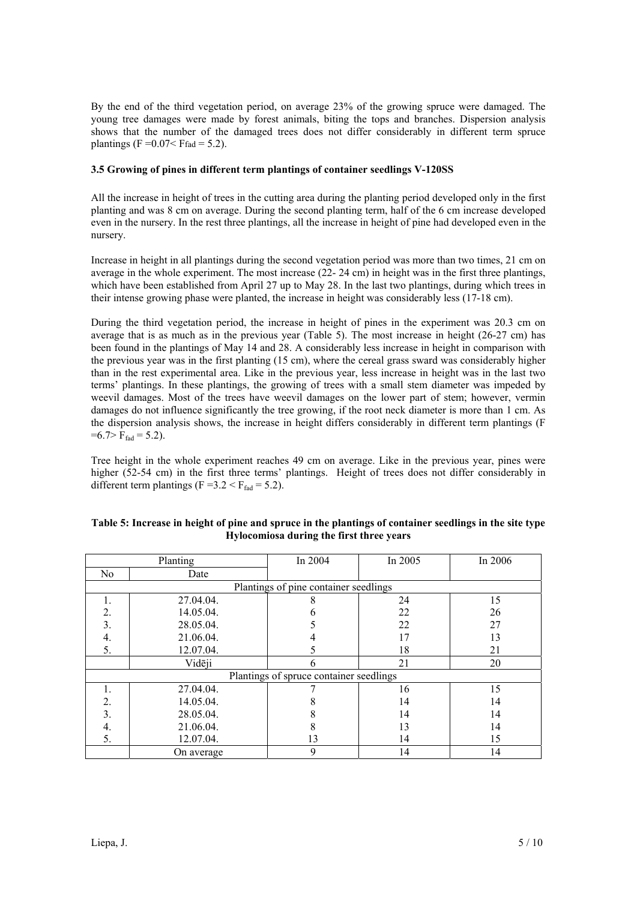By the end of the third vegetation period, on average 23% of the growing spruce were damaged. The young tree damages were made by forest animals, biting the tops and branches. Dispersion analysis shows that the number of the damaged trees does not differ considerably in different term spruce plantings (F =  $0.07 <$  Ffad = 5.2).

# **3.5 Growing of pines in different term plantings of container seedlings V-120SS**

All the increase in height of trees in the cutting area during the planting period developed only in the first planting and was 8 cm on average. During the second planting term, half of the 6 cm increase developed even in the nursery. In the rest three plantings, all the increase in height of pine had developed even in the nursery.

Increase in height in all plantings during the second vegetation period was more than two times, 21 cm on average in the whole experiment. The most increase (22- 24 cm) in height was in the first three plantings, which have been established from April 27 up to May 28. In the last two plantings, during which trees in their intense growing phase were planted, the increase in height was considerably less (17-18 cm).

During the third vegetation period, the increase in height of pines in the experiment was 20.3 cm on average that is as much as in the previous year (Table 5). The most increase in height (26-27 cm) has been found in the plantings of May 14 and 28. A considerably less increase in height in comparison with the previous year was in the first planting (15 cm), where the cereal grass sward was considerably higher than in the rest experimental area. Like in the previous year, less increase in height was in the last two terms' plantings. In these plantings, the growing of trees with a small stem diameter was impeded by weevil damages. Most of the trees have weevil damages on the lower part of stem; however, vermin damages do not influence significantly the tree growing, if the root neck diameter is more than 1 cm. As the dispersion analysis shows, the increase in height differs considerably in different term plantings (F  $=6.7>F_{\text{fad}}=5.2$ ).

Tree height in the whole experiment reaches 49 cm on average. Like in the previous year, pines were higher (52-54 cm) in the first three terms' plantings. Height of trees does not differ considerably in different term plantings (F =  $3.2 < F_{\text{fad}} = 5.2$ ).

| Table 5: Increase in height of pine and spruce in the plantings of container seedlings in the site type |
|---------------------------------------------------------------------------------------------------------|
| Hylocomiosa during the first three years                                                                |

| Planting                                |            | In 2004                               | In 2005 | In 2006 |
|-----------------------------------------|------------|---------------------------------------|---------|---------|
| No                                      | Date       |                                       |         |         |
|                                         |            | Plantings of pine container seedlings |         |         |
|                                         | 27.04.04.  |                                       | 24      | 15      |
| 2.                                      | 14.05.04.  |                                       | 22      | 26      |
| 3.                                      | 28.05.04.  |                                       | 22      | 27      |
| 4.                                      | 21.06.04.  |                                       | 17      | 13      |
| 5.                                      | 12.07.04.  |                                       | 18      | 21      |
|                                         | Vidēji     | h                                     | 21      | 20      |
| Plantings of spruce container seedlings |            |                                       |         |         |
|                                         | 27.04.04.  |                                       | 16      | 15      |
| 2.                                      | 14.05.04.  |                                       | 14      | 14      |
| 3.                                      | 28.05.04.  |                                       | 14      | 14      |
| 4.                                      | 21.06.04.  |                                       | 13      | 14      |
| 5.                                      | 12.07.04.  | 13                                    | 14      | 15      |
|                                         | On average | 9                                     | 14      | 14      |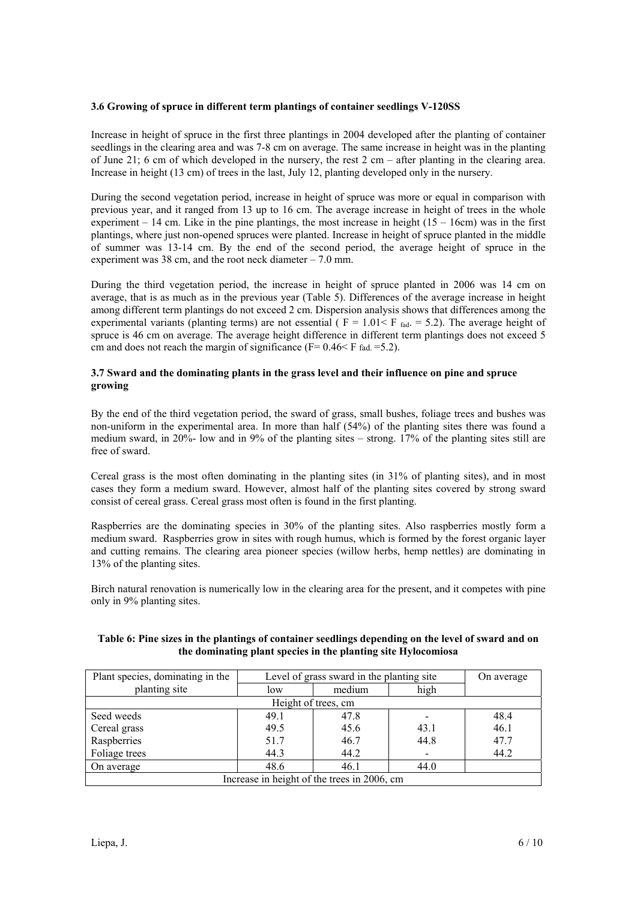### **3.6 Growing of spruce in different term plantings of container seedlings V-120SS**

Increase in height of spruce in the first three plantings in 2004 developed after the planting of container seedlings in the clearing area and was 7-8 cm on average. The same increase in height was in the planting of June 21; 6 cm of which developed in the nursery, the rest 2 cm – after planting in the clearing area. Increase in height (13 cm) of trees in the last, July 12, planting developed only in the nursery.

During the second vegetation period, increase in height of spruce was more or equal in comparison with previous year, and it ranged from 13 up to 16 cm. The average increase in height of trees in the whole experiment  $-14$  cm. Like in the pine plantings, the most increase in height ( $15 - 16$ cm) was in the first plantings, where just non-opened spruces were planted. Increase in height of spruce planted in the middle of summer was 13-14 cm. By the end of the second period, the average height of spruce in the experiment was 38 cm, and the root neck diameter  $-7.0$  mm.

During the third vegetation period, the increase in height of spruce planted in 2006 was 14 cm on average, that is as much as in the previous year (Table 5). Differences of the average increase in height among different term plantings do not exceed 2 cm. Dispersion analysis shows that differences among the experimental variants (planting terms) are not essential ( $F = 1.01 < F_{rad.} = 5.2$ ). The average height of spruce is 46 cm on average. The average height difference in different term plantings does not exceed 5 cm and does not reach the margin of significance ( $F = 0.46 \le F$  fad.  $= 5.2$ ).

# **3.7 Sward and the dominating plants in the grass level and their influence on pine and spruce growing**

By the end of the third vegetation period, the sward of grass, small bushes, foliage trees and bushes was non-uniform in the experimental area. In more than half (54%) of the planting sites there was found a medium sward, in 20%- low and in 9% of the planting sites – strong. 17% of the planting sites still are free of sward.

Cereal grass is the most often dominating in the planting sites (in 31% of planting sites), and in most cases they form a medium sward. However, almost half of the planting sites covered by strong sward consist of cereal grass. Cereal grass most often is found in the first planting.

Raspberries are the dominating species in 30% of the planting sites. Also raspberries mostly form a medium sward. Raspberries grow in sites with rough humus, which is formed by the forest organic layer and cutting remains. The clearing area pioneer species (willow herbs, hemp nettles) are dominating in 13% of the planting sites.

Birch natural renovation is numerically low in the clearing area for the present, and it competes with pine only in 9% planting sites.

# **Table 6: Pine sizes in the plantings of container seedlings depending on the level of sward and on the dominating plant species in the planting site Hylocomiosa**

| Plant species, dominating in the | Level of grass sward in the planting site | On average                                  |      |      |  |  |  |  |
|----------------------------------|-------------------------------------------|---------------------------------------------|------|------|--|--|--|--|
| planting site                    | low                                       | medium                                      | high |      |  |  |  |  |
| Height of trees, cm              |                                           |                                             |      |      |  |  |  |  |
| Seed weeds                       | 49.1                                      | 47.8                                        |      | 48.4 |  |  |  |  |
| Cereal grass                     | 49.5                                      | 45.6                                        | 43.1 | 46.1 |  |  |  |  |
| Raspberries                      | 51.7                                      | 46.7                                        | 44.8 | 47.7 |  |  |  |  |
| Foliage trees                    | 44.3                                      | 44.2                                        |      | 44.2 |  |  |  |  |
| On average                       | 48.6                                      | 46.1                                        | 44.0 |      |  |  |  |  |
|                                  |                                           | Increase in height of the trees in 2006, cm |      |      |  |  |  |  |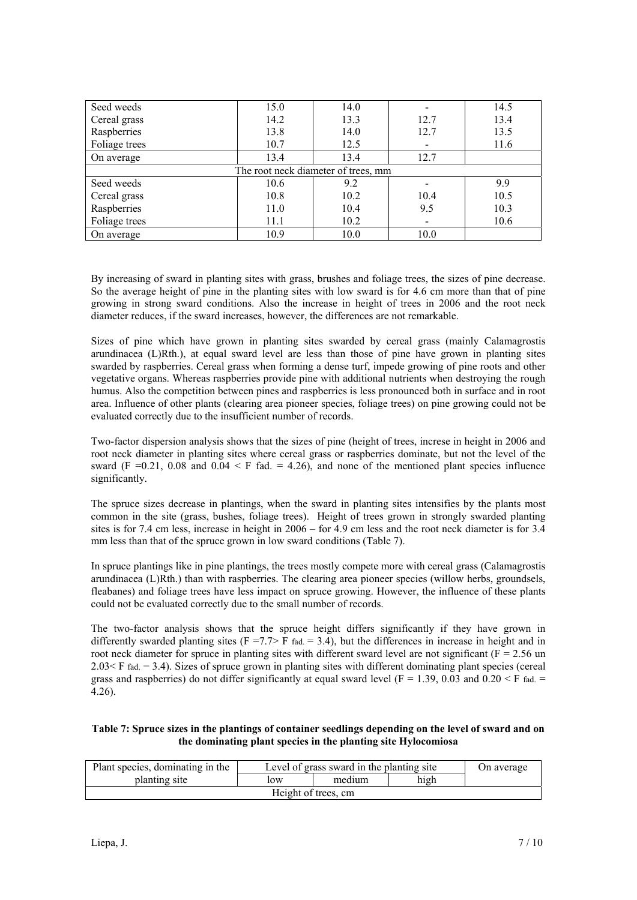| Seed weeds                          | 15.0 | 14.0 |      | 14.5 |  |  |
|-------------------------------------|------|------|------|------|--|--|
| Cereal grass                        | 14.2 | 13.3 | 12.7 | 13.4 |  |  |
| Raspberries                         | 13.8 | 14.0 | 12.7 | 13.5 |  |  |
| Foliage trees                       | 10.7 | 12.5 |      | 11.6 |  |  |
| On average                          | 13.4 | 13.4 | 12.7 |      |  |  |
| The root neck diameter of trees, mm |      |      |      |      |  |  |
| Seed weeds                          | 10.6 | 9.2  |      | 9.9  |  |  |
| Cereal grass                        | 10.8 | 10.2 | 10.4 | 10.5 |  |  |
| Raspberries                         | 11.0 | 10.4 | 9.5  | 10.3 |  |  |
| Foliage trees                       | 11.1 | 10.2 |      | 10.6 |  |  |
| On average                          | 10.9 | 10.0 | 10.0 |      |  |  |

By increasing of sward in planting sites with grass, brushes and foliage trees, the sizes of pine decrease. So the average height of pine in the planting sites with low sward is for 4.6 cm more than that of pine growing in strong sward conditions. Also the increase in height of trees in 2006 and the root neck diameter reduces, if the sward increases, however, the differences are not remarkable.

Sizes of pine which have grown in planting sites swarded by cereal grass (mainly Calamagrostis arundinacea (L)Rth.), at equal sward level are less than those of pine have grown in planting sites swarded by raspberries. Cereal grass when forming a dense turf, impede growing of pine roots and other vegetative organs. Whereas raspberries provide pine with additional nutrients when destroying the rough humus. Also the competition between pines and raspberries is less pronounced both in surface and in root area. Influence of other plants (clearing area pioneer species, foliage trees) on pine growing could not be evaluated correctly due to the insufficient number of records.

Two-factor dispersion analysis shows that the sizes of pine (height of trees, increse in height in 2006 and root neck diameter in planting sites where cereal grass or raspberries dominate, but not the level of the sward (F = 0.21, 0.08 and 0.04  $\leq$  F fad. = 4.26), and none of the mentioned plant species influence significantly.

The spruce sizes decrease in plantings, when the sward in planting sites intensifies by the plants most common in the site (grass, bushes, foliage trees). Height of trees grown in strongly swarded planting sites is for 7.4 cm less, increase in height in 2006 – for 4.9 cm less and the root neck diameter is for 3.4 mm less than that of the spruce grown in low sward conditions (Table 7).

In spruce plantings like in pine plantings, the trees mostly compete more with cereal grass (Calamagrostis arundinacea (L)Rth.) than with raspberries. The clearing area pioneer species (willow herbs, groundsels, fleabanes) and foliage trees have less impact on spruce growing. However, the influence of these plants could not be evaluated correctly due to the small number of records.

The two-factor analysis shows that the spruce height differs significantly if they have grown in differently swarded planting sites (F =7.7> F fad. = 3.4), but the differences in increase in height and in root neck diameter for spruce in planting sites with different sward level are not significant ( $F = 2.56$  un  $2.03 \le F$  fad.  $= 3.4$ ). Sizes of spruce grown in planting sites with different dominating plant species (cereal grass and raspberries) do not differ significantly at equal sward level ( $F = 1.39, 0.03$  and  $0.20 \le F$  fad.  $=$ 4.26).

### **Table 7: Spruce sizes in the plantings of container seedlings depending on the level of sward and on the dominating plant species in the planting site Hylocomiosa**

| Plant species, dominating in the | On average |  |  |  |  |  |
|----------------------------------|------------|--|--|--|--|--|
| planting site                    |            |  |  |  |  |  |
| Height of trees, cm.             |            |  |  |  |  |  |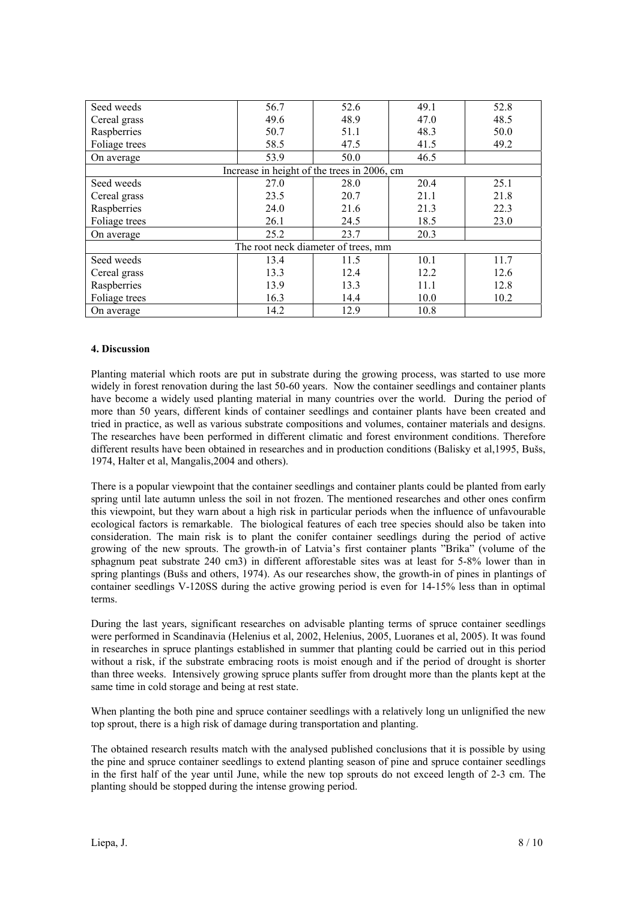| Seed weeds    | 56.7                                        | 52.6 | 49.1 | 52.8 |
|---------------|---------------------------------------------|------|------|------|
| Cereal grass  | 49.6                                        | 48.9 | 47.0 | 48.5 |
| Raspberries   | 50.7                                        | 51.1 | 48.3 | 50.0 |
| Foliage trees | 58.5                                        | 47.5 | 41.5 | 49.2 |
| On average    | 53.9                                        | 50.0 | 46.5 |      |
|               | Increase in height of the trees in 2006, cm |      |      |      |
| Seed weeds    | 27.0                                        | 28.0 | 20.4 | 25.1 |
| Cereal grass  | 23.5                                        | 20.7 | 21.1 | 21.8 |
| Raspberries   | 24.0                                        | 21.6 | 21.3 | 22.3 |
| Foliage trees | 26.1                                        | 24.5 | 18.5 | 23.0 |
| On average    | 25.2                                        | 23.7 | 20.3 |      |
|               | The root neck diameter of trees, mm         |      |      |      |
| Seed weeds    | 13.4                                        | 11.5 | 10.1 | 11.7 |
| Cereal grass  | 13.3                                        | 12.4 | 12.2 | 12.6 |
| Raspberries   | 13.9                                        | 13.3 | 11.1 | 12.8 |
| Foliage trees | 16.3                                        | 14.4 | 10.0 | 10.2 |
| On average    | 14.2                                        | 12.9 | 10.8 |      |

### **4. Discussion**

Planting material which roots are put in substrate during the growing process, was started to use more widely in forest renovation during the last 50-60 years. Now the container seedlings and container plants have become a widely used planting material in many countries over the world. During the period of more than 50 years, different kinds of container seedlings and container plants have been created and tried in practice, as well as various substrate compositions and volumes, container materials and designs. The researches have been performed in different climatic and forest environment conditions. Therefore different results have been obtained in researches and in production conditions (Balisky et al,1995, Bušs, 1974, Halter et al, Mangalis,2004 and others).

There is a popular viewpoint that the container seedlings and container plants could be planted from early spring until late autumn unless the soil in not frozen. The mentioned researches and other ones confirm this viewpoint, but they warn about a high risk in particular periods when the influence of unfavourable ecological factors is remarkable. The biological features of each tree species should also be taken into consideration. The main risk is to plant the conifer container seedlings during the period of active growing of the new sprouts. The growth-in of Latvia's first container plants "Brika" (volume of the sphagnum peat substrate 240 cm3) in different afforestable sites was at least for 5-8% lower than in spring plantings (Bušs and others, 1974). As our researches show, the growth-in of pines in plantings of container seedlings V-120SS during the active growing period is even for 14-15% less than in optimal terms.

During the last years, significant researches on advisable planting terms of spruce container seedlings were performed in Scandinavia (Helenius et al, 2002, Helenius, 2005, Luoranes et al, 2005). It was found in researches in spruce plantings established in summer that planting could be carried out in this period without a risk, if the substrate embracing roots is moist enough and if the period of drought is shorter than three weeks. Intensively growing spruce plants suffer from drought more than the plants kept at the same time in cold storage and being at rest state.

When planting the both pine and spruce container seedlings with a relatively long un unlignified the new top sprout, there is a high risk of damage during transportation and planting.

The obtained research results match with the analysed published conclusions that it is possible by using the pine and spruce container seedlings to extend planting season of pine and spruce container seedlings in the first half of the year until June, while the new top sprouts do not exceed length of 2-3 cm. The planting should be stopped during the intense growing period.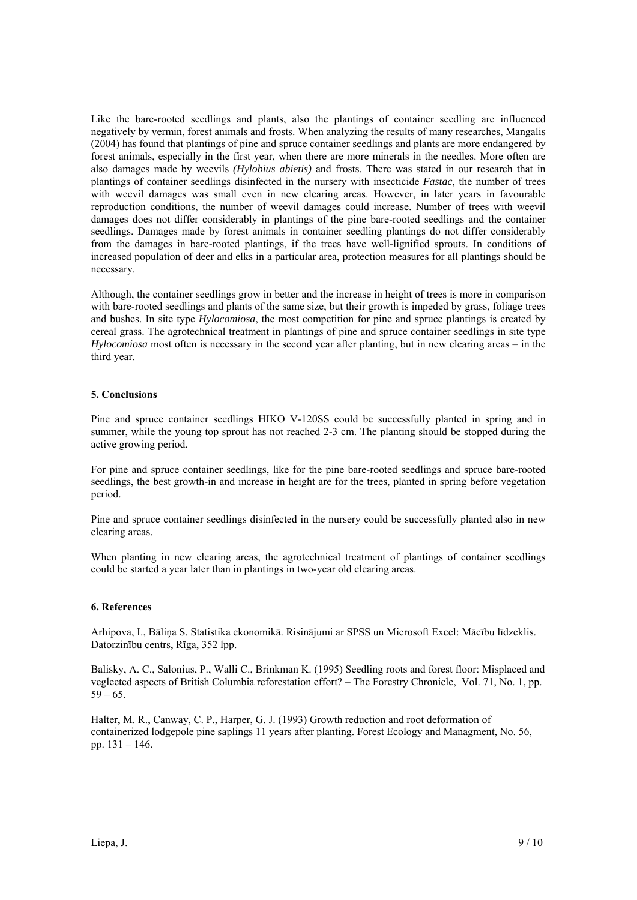Like the bare-rooted seedlings and plants, also the plantings of container seedling are influenced negatively by vermin, forest animals and frosts. When analyzing the results of many researches, Mangalis (2004) has found that plantings of pine and spruce container seedlings and plants are more endangered by forest animals, especially in the first year, when there are more minerals in the needles. More often are also damages made by weevils *(Hylobius abietis)* and frosts. There was stated in our research that in plantings of container seedlings disinfected in the nursery with insecticide *Fastac*, the number of trees with weevil damages was small even in new clearing areas. However, in later years in favourable reproduction conditions, the number of weevil damages could increase. Number of trees with weevil damages does not differ considerably in plantings of the pine bare-rooted seedlings and the container seedlings. Damages made by forest animals in container seedling plantings do not differ considerably from the damages in bare-rooted plantings, if the trees have well-lignified sprouts. In conditions of increased population of deer and elks in a particular area, protection measures for all plantings should be necessary.

Although, the container seedlings grow in better and the increase in height of trees is more in comparison with bare-rooted seedlings and plants of the same size, but their growth is impeded by grass, foliage trees and bushes. In site type *Hylocomiosa*, the most competition for pine and spruce plantings is created by cereal grass. The agrotechnical treatment in plantings of pine and spruce container seedlings in site type *Hylocomiosa* most often is necessary in the second year after planting, but in new clearing areas – in the third year.

### **5. Conclusions**

Pine and spruce container seedlings HIKO V-120SS could be successfully planted in spring and in summer, while the young top sprout has not reached 2-3 cm. The planting should be stopped during the active growing period.

For pine and spruce container seedlings, like for the pine bare-rooted seedlings and spruce bare-rooted seedlings, the best growth-in and increase in height are for the trees, planted in spring before vegetation period.

Pine and spruce container seedlings disinfected in the nursery could be successfully planted also in new clearing areas.

When planting in new clearing areas, the agrotechnical treatment of plantings of container seedlings could be started a year later than in plantings in two-year old clearing areas.

### **6. References**

Arhipova, I., Bāliņa S. Statistika ekonomikā. Risinājumi ar SPSS un Microsoft Excel: Mācību līdzeklis. Datorzinību centrs, Rīga, 352 lpp.

Balisky, A. C., Salonius, P., Walli C., Brinkman K. (1995) Seedling roots and forest floor: Misplaced and vegleeted aspects of British Columbia reforestation effort? – The Forestry Chronicle, Vol. 71, No. 1, pp.  $59 - 65.$ 

Halter, M. R., Canway, C. P., Harper, G. J. (1993) Growth reduction and root deformation of containerized lodgepole pine saplings 11 years after planting. Forest Ecology and Managment, No. 56, pp. 131 – 146.